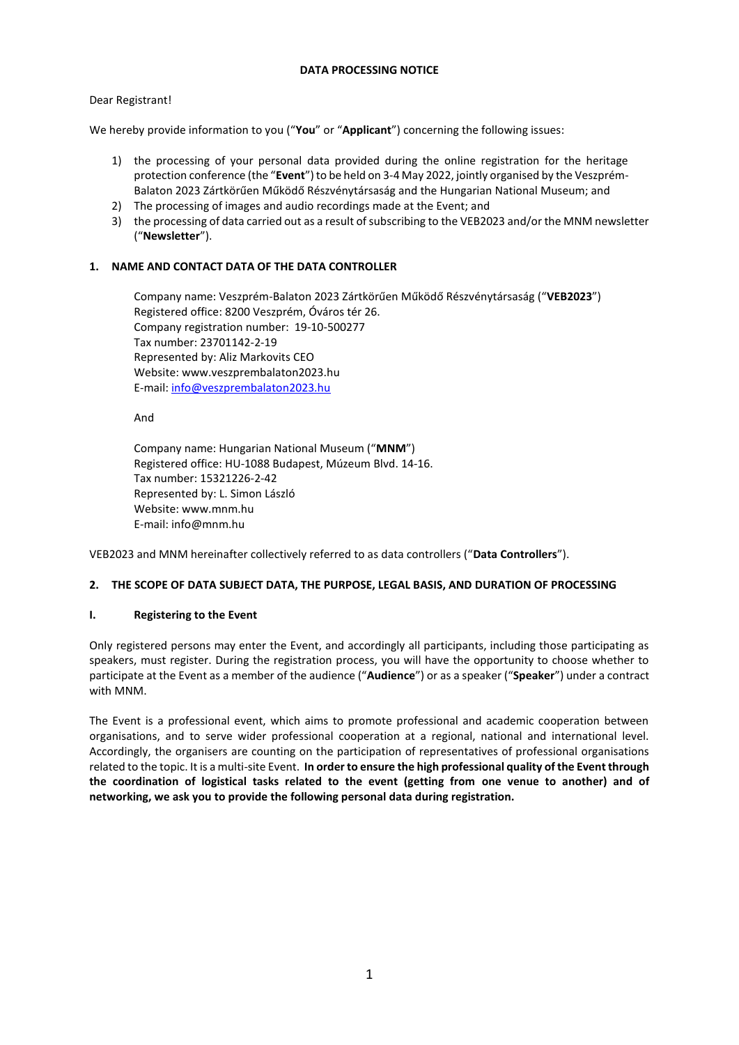## **DATA PROCESSING NOTICE**

## Dear Registrant!

We hereby provide information to you ("**You**" or "**Applicant**") concerning the following issues:

- 1) the processing of your personal data provided during the online registration for the heritage protection conference (the "**Event**") to be held on 3-4 May 2022, jointly organised by the Veszprém-Balaton 2023 Zártkörűen Működő Részvénytársaság and the Hungarian National Museum; and
- 2) The processing of images and audio recordings made at the Event; and
- 3) the processing of data carried out as a result of subscribing to the VEB2023 and/or the MNM newsletter ("**Newsletter**").

## **1. NAME AND CONTACT DATA OF THE DATA CONTROLLER**

Company name: Veszprém-Balaton 2023 Zártkörűen Működő Részvénytársaság ("**VEB2023**") Registered office: 8200 Veszprém, Óváros tér 26. Company registration number: 19-10-500277 Tax number: 23701142-2-19 Represented by: Aliz Markovits CEO Website: www.veszprembalaton2023.hu E-mail: [info@veszprembalaton2023.hu](mailto:info@veszprembalaton2023.hu)

And

Company name: Hungarian National Museum ("**MNM**") Registered office: HU-1088 Budapest, Múzeum Blvd. 14-16. Tax number: 15321226-2-42 Represented by: L. Simon László Website: www.mnm.hu E-mail: info@mnm.hu

VEB2023 and MNM hereinafter collectively referred to as data controllers ("**Data Controllers**").

### **2. THE SCOPE OF DATA SUBJECT DATA, THE PURPOSE, LEGAL BASIS, AND DURATION OF PROCESSING**

### **I. Registering to the Event**

Only registered persons may enter the Event, and accordingly all participants, including those participating as speakers, must register. During the registration process, you will have the opportunity to choose whether to participate at the Event as a member of the audience ("**Audience**") or as a speaker ("**Speaker**") under a contract with MNM.

The Event is a professional event, which aims to promote professional and academic cooperation between organisations, and to serve wider professional cooperation at a regional, national and international level. Accordingly, the organisers are counting on the participation of representatives of professional organisations related to the topic. It is a multi-site Event. **In order to ensure the high professional quality of the Event through the coordination of logistical tasks related to the event (getting from one venue to another) and of networking, we ask you to provide the following personal data during registration.**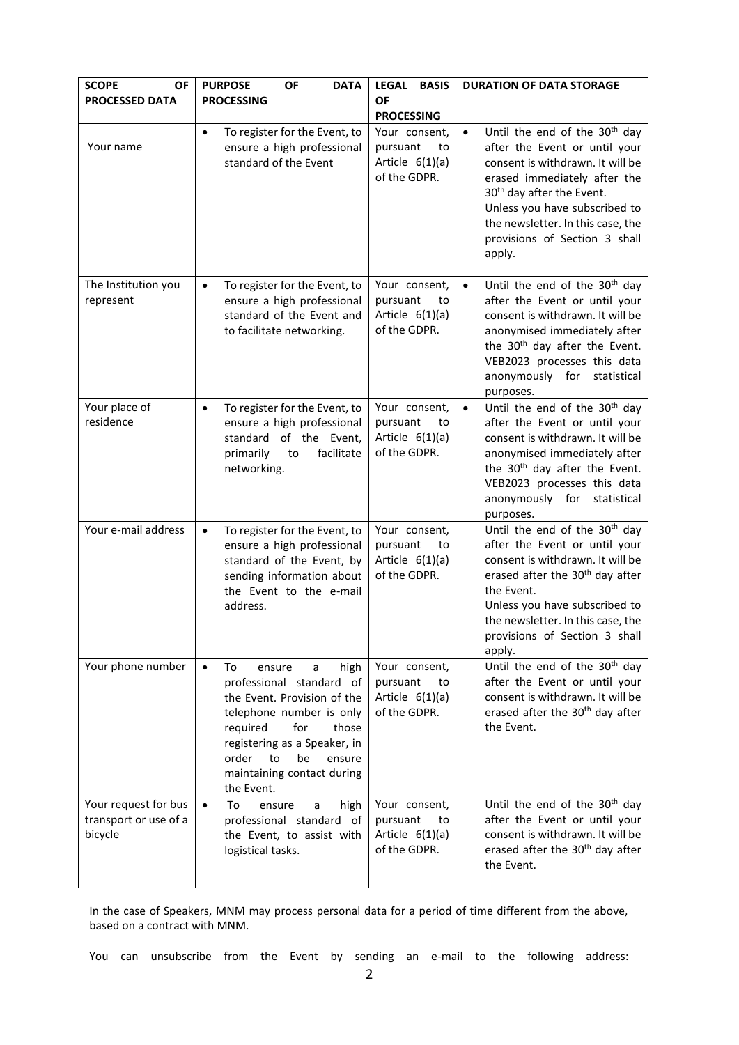| <b>SCOPE</b><br><b>OF</b><br><b>PROCESSED DATA</b>       | <b>OF</b><br><b>PURPOSE</b><br><b>DATA</b><br><b>PROCESSING</b>                                                                                                                                                                                                      | <b>LEGAL</b><br><b>BASIS</b><br><b>OF</b><br><b>PROCESSING</b>       | <b>DURATION OF DATA STORAGE</b>                                                                                                                                                                                                                                                                                       |
|----------------------------------------------------------|----------------------------------------------------------------------------------------------------------------------------------------------------------------------------------------------------------------------------------------------------------------------|----------------------------------------------------------------------|-----------------------------------------------------------------------------------------------------------------------------------------------------------------------------------------------------------------------------------------------------------------------------------------------------------------------|
| Your name                                                | To register for the Event, to<br>$\bullet$<br>ensure a high professional<br>standard of the Event                                                                                                                                                                    | Your consent,<br>pursuant<br>to<br>Article $6(1)(a)$<br>of the GDPR. | Until the end of the 30 <sup>th</sup> day<br>$\bullet$<br>after the Event or until your<br>consent is withdrawn. It will be<br>erased immediately after the<br>30 <sup>th</sup> day after the Event.<br>Unless you have subscribed to<br>the newsletter. In this case, the<br>provisions of Section 3 shall<br>apply. |
| The Institution you<br>represent                         | To register for the Event, to<br>$\bullet$<br>ensure a high professional<br>standard of the Event and<br>to facilitate networking.                                                                                                                                   | Your consent,<br>pursuant<br>to<br>Article $6(1)(a)$<br>of the GDPR. | Until the end of the 30 <sup>th</sup> day<br>$\bullet$<br>after the Event or until your<br>consent is withdrawn. It will be<br>anonymised immediately after<br>the 30 <sup>th</sup> day after the Event.<br>VEB2023 processes this data<br>anonymously for<br>statistical<br>purposes.                                |
| Your place of<br>residence                               | To register for the Event, to<br>$\bullet$<br>ensure a high professional<br>of the Event,<br>standard<br>facilitate<br>primarily<br>to<br>networking.                                                                                                                | Your consent,<br>pursuant<br>to<br>Article $6(1)(a)$<br>of the GDPR. | Until the end of the 30 <sup>th</sup> day<br>after the Event or until your<br>consent is withdrawn. It will be<br>anonymised immediately after<br>the 30 <sup>th</sup> day after the Event.<br>VEB2023 processes this data<br>anonymously for<br>statistical<br>purposes.                                             |
| Your e-mail address                                      | To register for the Event, to<br>$\bullet$<br>ensure a high professional<br>standard of the Event, by<br>sending information about<br>the Event to the e-mail<br>address.                                                                                            | Your consent,<br>pursuant<br>to<br>Article $6(1)(a)$<br>of the GDPR. | Until the end of the 30 <sup>th</sup> day<br>after the Event or until your<br>consent is withdrawn. It will be<br>erased after the 30 <sup>th</sup> day after<br>the Event.<br>Unless you have subscribed to<br>the newsletter. In this case, the<br>provisions of Section 3 shall<br>apply.                          |
| Your phone number                                        | To<br>$\bullet$<br>high<br>ensure<br>a<br>professional standard of<br>the Event. Provision of the<br>telephone number is only<br>required<br>for<br>those<br>registering as a Speaker, in<br>order<br>to<br>be<br>ensure<br>maintaining contact during<br>the Event. | Your consent,<br>pursuant<br>to<br>Article $6(1)(a)$<br>of the GDPR. | Until the end of the 30 <sup>th</sup> day<br>after the Event or until your<br>consent is withdrawn. It will be<br>erased after the 30 <sup>th</sup> day after<br>the Event.                                                                                                                                           |
| Your request for bus<br>transport or use of a<br>bicycle | To<br>high<br>$\bullet$<br>ensure<br>a<br>professional standard of<br>the Event, to assist with<br>logistical tasks.                                                                                                                                                 | Your consent,<br>pursuant<br>to<br>Article $6(1)(a)$<br>of the GDPR. | Until the end of the 30 <sup>th</sup> day<br>after the Event or until your<br>consent is withdrawn. It will be<br>erased after the 30 <sup>th</sup> day after<br>the Event.                                                                                                                                           |

In the case of Speakers, MNM may process personal data for a period of time different from the above, based on a contract with MNM.

You can unsubscribe from the Event by sending an e-mail to the following address: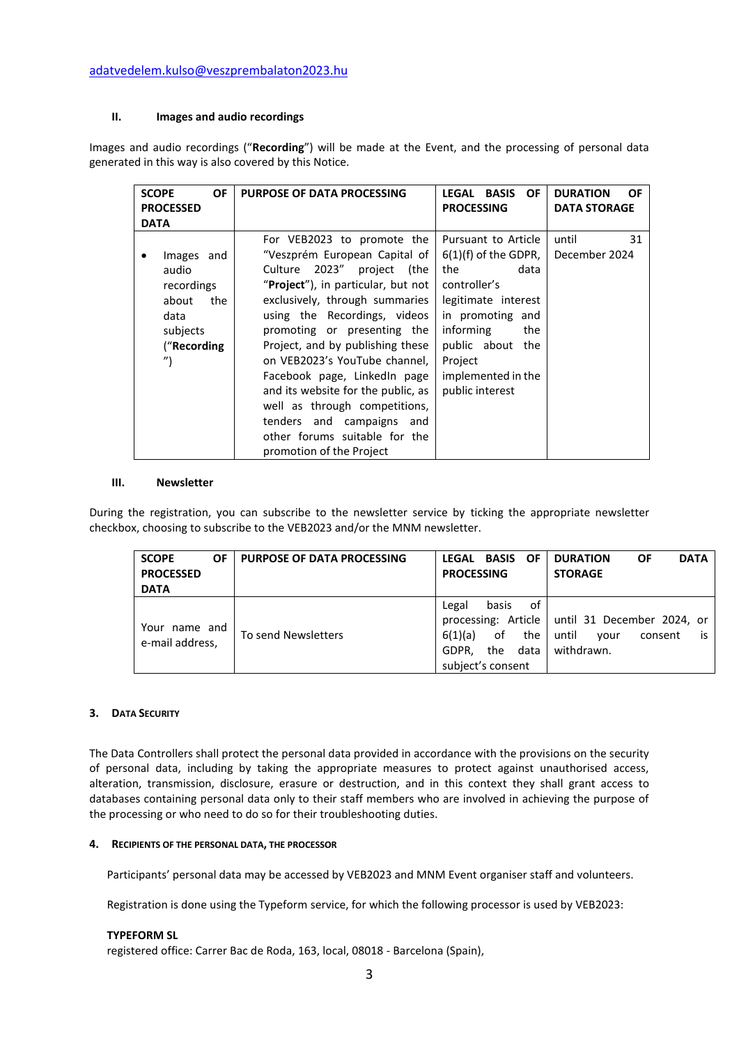#### **II. Images and audio recordings**

Images and audio recordings ("**Recording**") will be made at the Event, and the processing of personal data generated in this way is also covered by this Notice.

| <b>SCOPE</b><br>OF                                                                                        | <b>PURPOSE OF DATA PROCESSING</b>                                                                                                                                                                                                                                                                                                                                           | LEGAL<br><b>BASIS</b><br><b>OF</b>                                                                                                                                                                                  | <b>DURATION</b><br><b>OF</b> |
|-----------------------------------------------------------------------------------------------------------|-----------------------------------------------------------------------------------------------------------------------------------------------------------------------------------------------------------------------------------------------------------------------------------------------------------------------------------------------------------------------------|---------------------------------------------------------------------------------------------------------------------------------------------------------------------------------------------------------------------|------------------------------|
| <b>PROCESSED</b>                                                                                          |                                                                                                                                                                                                                                                                                                                                                                             | <b>PROCESSING</b>                                                                                                                                                                                                   | <b>DATA STORAGE</b>          |
| <b>DATA</b>                                                                                               |                                                                                                                                                                                                                                                                                                                                                                             |                                                                                                                                                                                                                     |                              |
| Images and<br>audio<br>recordings<br>about<br>the<br>data<br>subjects<br>("Recording<br>$^{\prime\prime}$ | For VEB2023 to promote the<br>"Veszprém European Capital of<br>Culture 2023" project (the<br>"Project"), in particular, but not<br>exclusively, through summaries<br>using the Recordings, videos<br>promoting or presenting the<br>Project, and by publishing these<br>on VEB2023's YouTube channel,<br>Facebook page, LinkedIn page<br>and its website for the public, as | Pursuant to Article<br>$6(1)(f)$ of the GDPR,<br>the<br>data<br>controller's<br>legitimate interest<br>in promoting and<br>informing<br>the<br>public about the<br>Project<br>implemented in the<br>public interest | 31<br>until<br>December 2024 |
|                                                                                                           | well as through competitions,<br>tenders and campaigns and<br>other forums suitable for the                                                                                                                                                                                                                                                                                 |                                                                                                                                                                                                                     |                              |
|                                                                                                           | promotion of the Project                                                                                                                                                                                                                                                                                                                                                    |                                                                                                                                                                                                                     |                              |

#### **III. Newsletter**

During the registration, you can subscribe to the newsletter service by ticking the appropriate newsletter checkbox, choosing to subscribe to the VEB2023 and/or the MNM newsletter.

| <b>SCOPE</b><br>OF<br><b>PROCESSED</b><br><b>DATA</b> | <b>FURPOSE OF DATA PROCESSING</b> | LEGAL BASIS<br>- OF<br><b>PROCESSING</b>                                                  | <b>DATA</b><br><b>DURATION</b><br>OF<br><b>STORAGE</b>                                           |
|-------------------------------------------------------|-----------------------------------|-------------------------------------------------------------------------------------------|--------------------------------------------------------------------------------------------------|
| Your name and<br>e-mail address,                      | To send Newsletters               | of<br>basis<br>Legal<br>6(1)(a)<br>the<br>of<br>data<br>GDPR.<br>the<br>subject's consent | processing: Article   until 31 December 2024, or<br>until<br>consent<br>vour<br>is<br>withdrawn. |

#### **3. DATA SECURITY**

The Data Controllers shall protect the personal data provided in accordance with the provisions on the security of personal data, including by taking the appropriate measures to protect against unauthorised access, alteration, transmission, disclosure, erasure or destruction, and in this context they shall grant access to databases containing personal data only to their staff members who are involved in achieving the purpose of the processing or who need to do so for their troubleshooting duties.

#### **4. RECIPIENTS OF THE PERSONAL DATA, THE PROCESSOR**

Participants' personal data may be accessed by VEB2023 and MNM Event organiser staff and volunteers.

Registration is done using the Typeform service, for which the following processor is used by VEB2023:

#### **TYPEFORM SL**

registered office: Carrer Bac de Roda, 163, local, 08018 - Barcelona (Spain),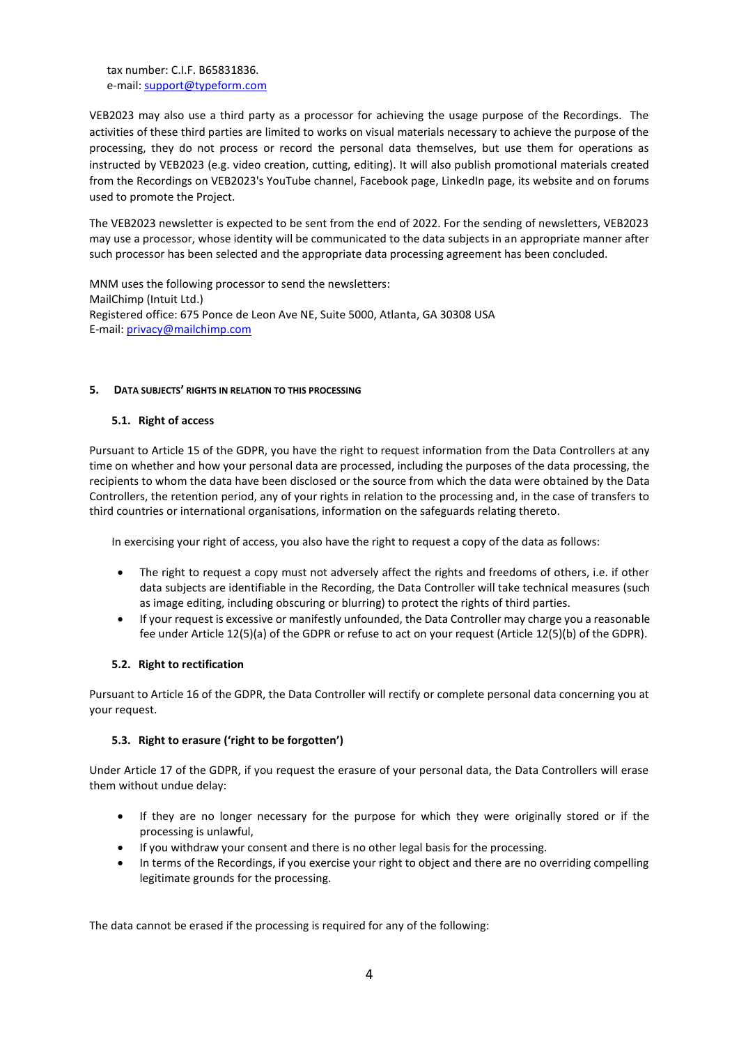tax number: C.I.F. B65831836. e-mail[: support@typeform.com](mailto:support@typeform.com)

VEB2023 may also use a third party as a processor for achieving the usage purpose of the Recordings. The activities of these third parties are limited to works on visual materials necessary to achieve the purpose of the processing, they do not process or record the personal data themselves, but use them for operations as instructed by VEB2023 (e.g. video creation, cutting, editing). It will also publish promotional materials created from the Recordings on VEB2023's YouTube channel, Facebook page, LinkedIn page, its website and on forums used to promote the Project.

The VEB2023 newsletter is expected to be sent from the end of 2022. For the sending of newsletters, VEB2023 may use a processor, whose identity will be communicated to the data subjects in an appropriate manner after such processor has been selected and the appropriate data processing agreement has been concluded.

MNM uses the following processor to send the newsletters: MailChimp (Intuit Ltd.) Registered office: 675 Ponce de Leon Ave NE, Suite 5000, Atlanta, GA 30308 USA E-mail: [privacy@mailchimp.com](mailto:privacy@mailchimp.com)

### **5. DATA SUBJECTS' RIGHTS IN RELATION TO THIS PROCESSING**

### **5.1. Right of access**

Pursuant to Article 15 of the GDPR, you have the right to request information from the Data Controllers at any time on whether and how your personal data are processed, including the purposes of the data processing, the recipients to whom the data have been disclosed or the source from which the data were obtained by the Data Controllers, the retention period, any of your rights in relation to the processing and, in the case of transfers to third countries or international organisations, information on the safeguards relating thereto.

In exercising your right of access, you also have the right to request a copy of the data as follows:

- The right to request a copy must not adversely affect the rights and freedoms of others, i.e. if other data subjects are identifiable in the Recording, the Data Controller will take technical measures (such as image editing, including obscuring or blurring) to protect the rights of third parties.
- If your request is excessive or manifestly unfounded, the Data Controller may charge you a reasonable fee under Article 12(5)(a) of the GDPR or refuse to act on your request (Article 12(5)(b) of the GDPR).

### **5.2. Right to rectification**

Pursuant to Article 16 of the GDPR, the Data Controller will rectify or complete personal data concerning you at your request.

### **5.3. Right to erasure ('right to be forgotten')**

Under Article 17 of the GDPR, if you request the erasure of your personal data, the Data Controllers will erase them without undue delay:

- If they are no longer necessary for the purpose for which they were originally stored or if the processing is unlawful,
- If you withdraw your consent and there is no other legal basis for the processing.
- In terms of the Recordings, if you exercise your right to object and there are no overriding compelling legitimate grounds for the processing.

The data cannot be erased if the processing is required for any of the following: